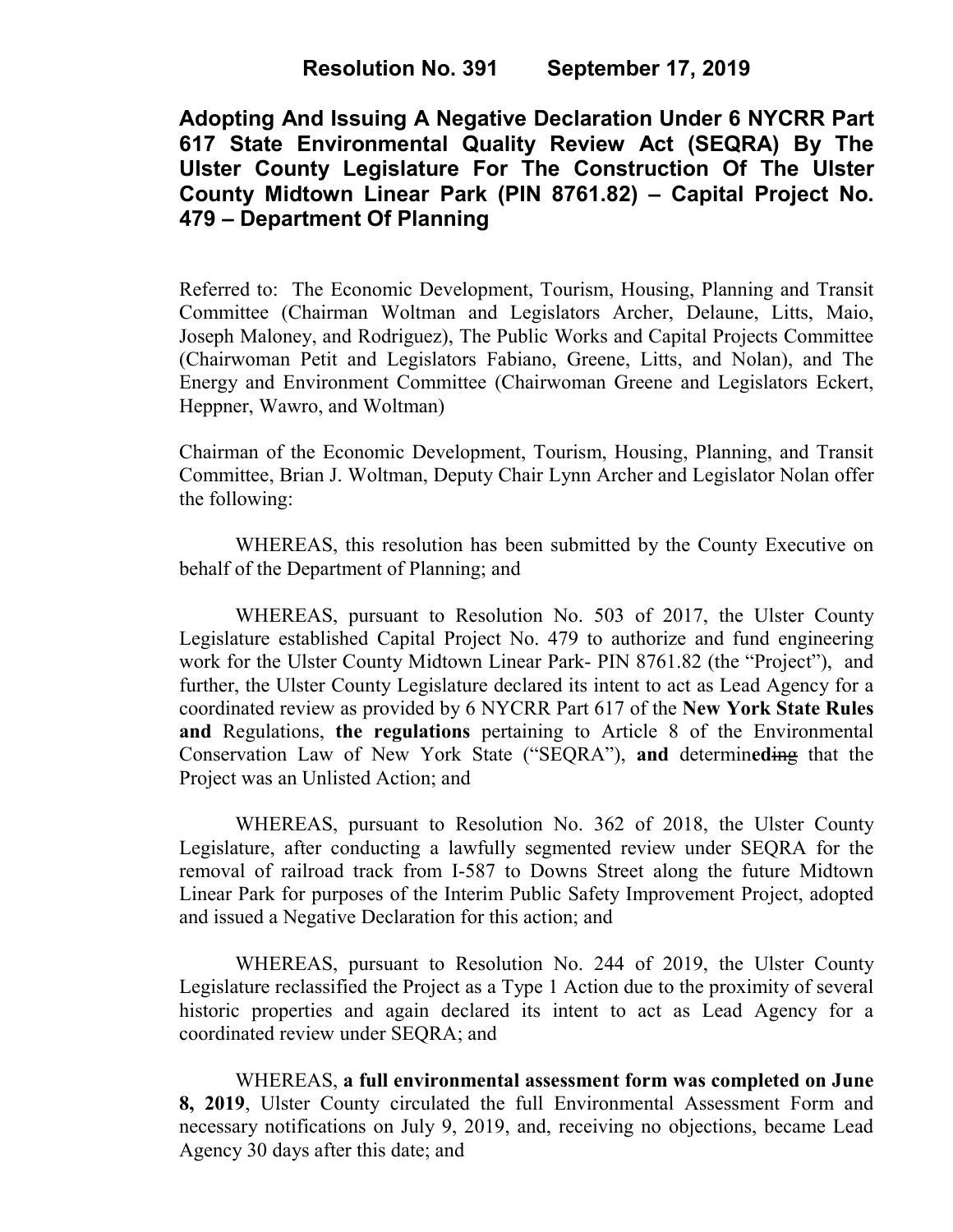**Adopting And Issuing A Negative Declaration Under 6 NYCRR Part 617 State Environmental Quality Review Act (SEQRA) By The Ulster County Legislature For The Construction Of The Ulster County Midtown Linear Park (PIN 8761.82) – Capital Project No. 479 – Department Of Planning**

Referred to: The Economic Development, Tourism, Housing, Planning and Transit Committee (Chairman Woltman and Legislators Archer, Delaune, Litts, Maio, Joseph Maloney, and Rodriguez), The Public Works and Capital Projects Committee (Chairwoman Petit and Legislators Fabiano, Greene, Litts, and Nolan), and The Energy and Environment Committee (Chairwoman Greene and Legislators Eckert, Heppner, Wawro, and Woltman)

Chairman of the Economic Development, Tourism, Housing, Planning, and Transit Committee, Brian J. Woltman, Deputy Chair Lynn Archer and Legislator Nolan offer the following:

WHEREAS, this resolution has been submitted by the County Executive on behalf of the Department of Planning; and

WHEREAS, pursuant to Resolution No. 503 of 2017, the Ulster County Legislature established Capital Project No. 479 to authorize and fund engineering work for the Ulster County Midtown Linear Park- PIN 8761.82 (the "Project"), and further, the Ulster County Legislature declared its intent to act as Lead Agency for a coordinated review as provided by 6 NYCRR Part 617 of the **New York State Rules and** Regulations, **the regulations** pertaining to Article 8 of the Environmental Conservation Law of New York State ("SEQRA"), **and** determin**ed**ing that the Project was an Unlisted Action; and

WHEREAS, pursuant to Resolution No. 362 of 2018, the Ulster County Legislature, after conducting a lawfully segmented review under SEQRA for the removal of railroad track from I-587 to Downs Street along the future Midtown Linear Park for purposes of the Interim Public Safety Improvement Project, adopted and issued a Negative Declaration for this action; and

WHEREAS, pursuant to Resolution No. 244 of 2019, the Ulster County Legislature reclassified the Project as a Type 1 Action due to the proximity of several historic properties and again declared its intent to act as Lead Agency for a coordinated review under SEQRA; and

WHEREAS, **a full environmental assessment form was completed on June 8, 2019**, Ulster County circulated the full Environmental Assessment Form and necessary notifications on July 9, 2019, and, receiving no objections, became Lead Agency 30 days after this date; and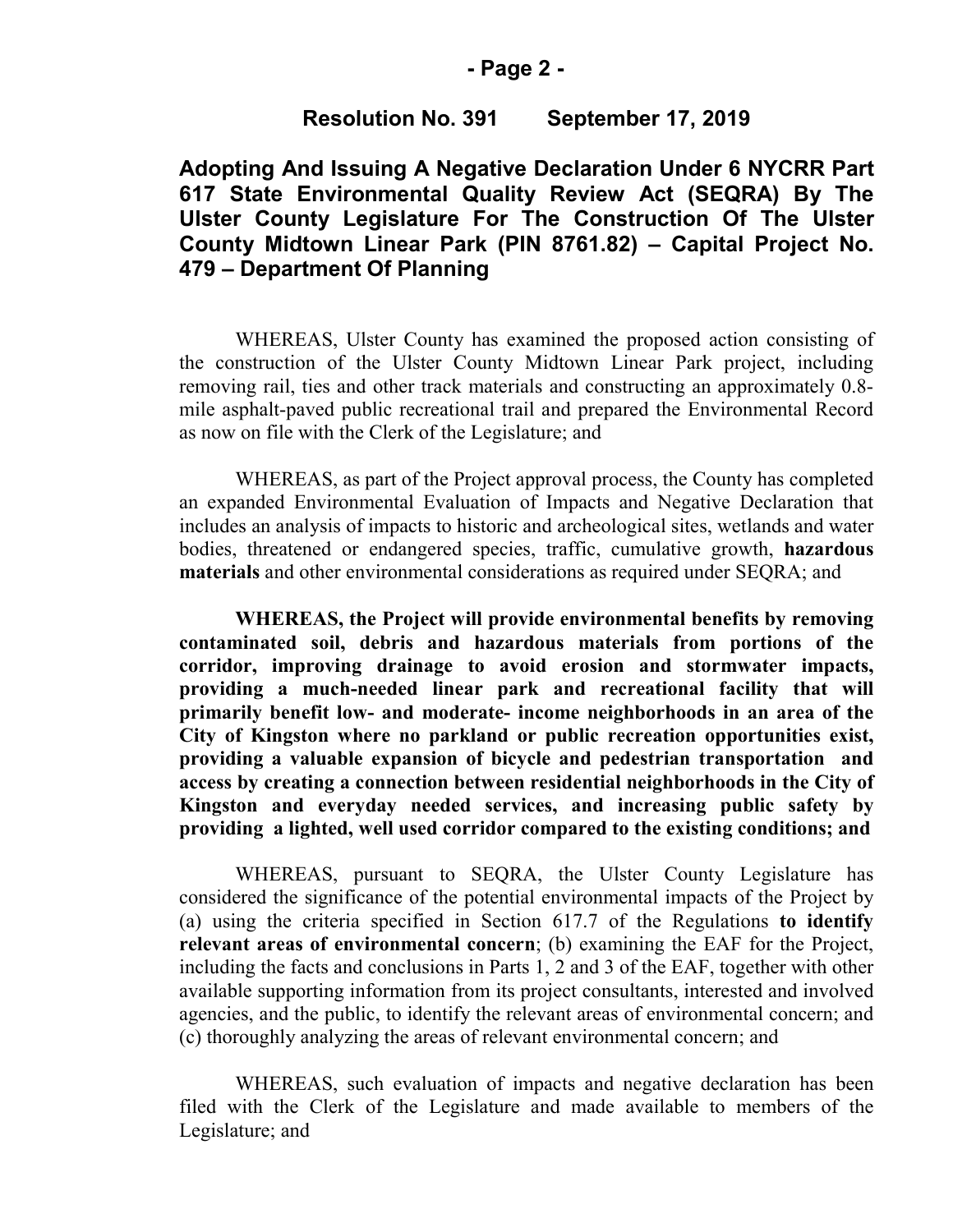#### **- Page 2 -**

#### **Resolution No. 391 September 17, 2019**

# **Adopting And Issuing A Negative Declaration Under 6 NYCRR Part 617 State Environmental Quality Review Act (SEQRA) By The Ulster County Legislature For The Construction Of The Ulster County Midtown Linear Park (PIN 8761.82) – Capital Project No. 479 – Department Of Planning**

WHEREAS, Ulster County has examined the proposed action consisting of the construction of the Ulster County Midtown Linear Park project, including removing rail, ties and other track materials and constructing an approximately 0.8 mile asphalt-paved public recreational trail and prepared the Environmental Record as now on file with the Clerk of the Legislature; and

WHEREAS, as part of the Project approval process, the County has completed an expanded Environmental Evaluation of Impacts and Negative Declaration that includes an analysis of impacts to historic and archeological sites, wetlands and water bodies, threatened or endangered species, traffic, cumulative growth, **hazardous materials** and other environmental considerations as required under SEQRA; and

**WHEREAS, the Project will provide environmental benefits by removing contaminated soil, debris and hazardous materials from portions of the corridor, improving drainage to avoid erosion and stormwater impacts, providing a much-needed linear park and recreational facility that will primarily benefit low- and moderate- income neighborhoods in an area of the City of Kingston where no parkland or public recreation opportunities exist, providing a valuable expansion of bicycle and pedestrian transportation and access by creating a connection between residential neighborhoods in the City of Kingston and everyday needed services, and increasing public safety by providing a lighted, well used corridor compared to the existing conditions; and**

WHEREAS, pursuant to SEQRA, the Ulster County Legislature has considered the significance of the potential environmental impacts of the Project by (a) using the criteria specified in Section 617.7 of the Regulations **to identify relevant areas of environmental concern**; (b) examining the EAF for the Project, including the facts and conclusions in Parts 1, 2 and 3 of the EAF, together with other available supporting information from its project consultants, interested and involved agencies, and the public, to identify the relevant areas of environmental concern; and (c) thoroughly analyzing the areas of relevant environmental concern; and

WHEREAS, such evaluation of impacts and negative declaration has been filed with the Clerk of the Legislature and made available to members of the Legislature; and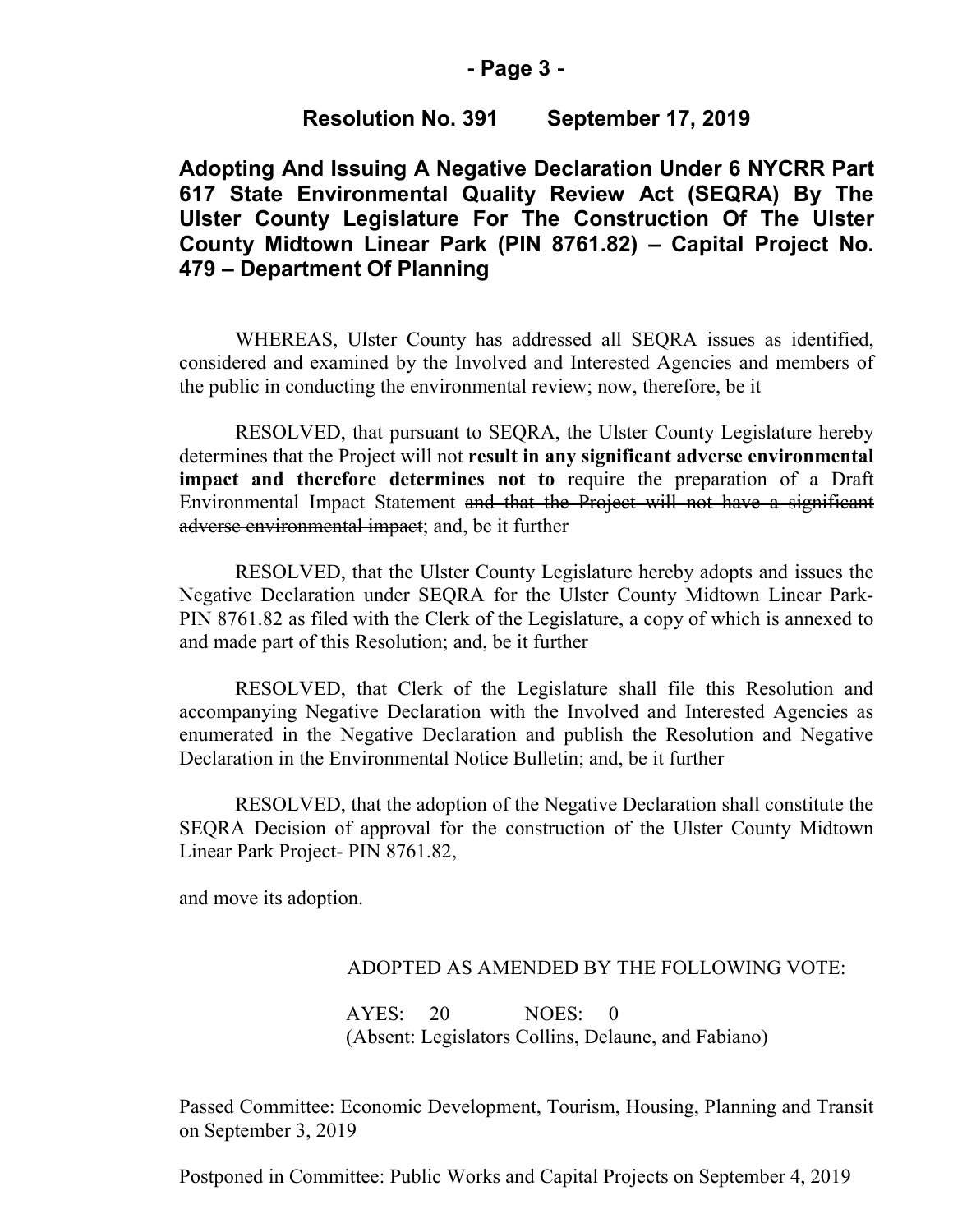#### **- Page 3 -**

### **Resolution No. 391 September 17, 2019**

# **Adopting And Issuing A Negative Declaration Under 6 NYCRR Part 617 State Environmental Quality Review Act (SEQRA) By The Ulster County Legislature For The Construction Of The Ulster County Midtown Linear Park (PIN 8761.82) – Capital Project No. 479 – Department Of Planning**

WHEREAS, Ulster County has addressed all SEQRA issues as identified, considered and examined by the Involved and Interested Agencies and members of the public in conducting the environmental review; now, therefore, be it

RESOLVED, that pursuant to SEQRA, the Ulster County Legislature hereby determines that the Project will not **result in any significant adverse environmental impact and therefore determines not to** require the preparation of a Draft Environmental Impact Statement and that the Project will not have a significant adverse environmental impact; and, be it further

RESOLVED, that the Ulster County Legislature hereby adopts and issues the Negative Declaration under SEQRA for the Ulster County Midtown Linear Park-PIN 8761.82 as filed with the Clerk of the Legislature, a copy of which is annexed to and made part of this Resolution; and, be it further

RESOLVED, that Clerk of the Legislature shall file this Resolution and accompanying Negative Declaration with the Involved and Interested Agencies as enumerated in the Negative Declaration and publish the Resolution and Negative Declaration in the Environmental Notice Bulletin; and, be it further

RESOLVED, that the adoption of the Negative Declaration shall constitute the SEQRA Decision of approval for the construction of the Ulster County Midtown Linear Park Project- PIN 8761.82,

and move its adoption.

#### ADOPTED AS AMENDED BY THE FOLLOWING VOTE:

 AYES: 20 NOES: 0 (Absent: Legislators Collins, Delaune, and Fabiano)

Passed Committee: Economic Development, Tourism, Housing, Planning and Transit on September 3, 2019

Postponed in Committee: Public Works and Capital Projects on September 4, 2019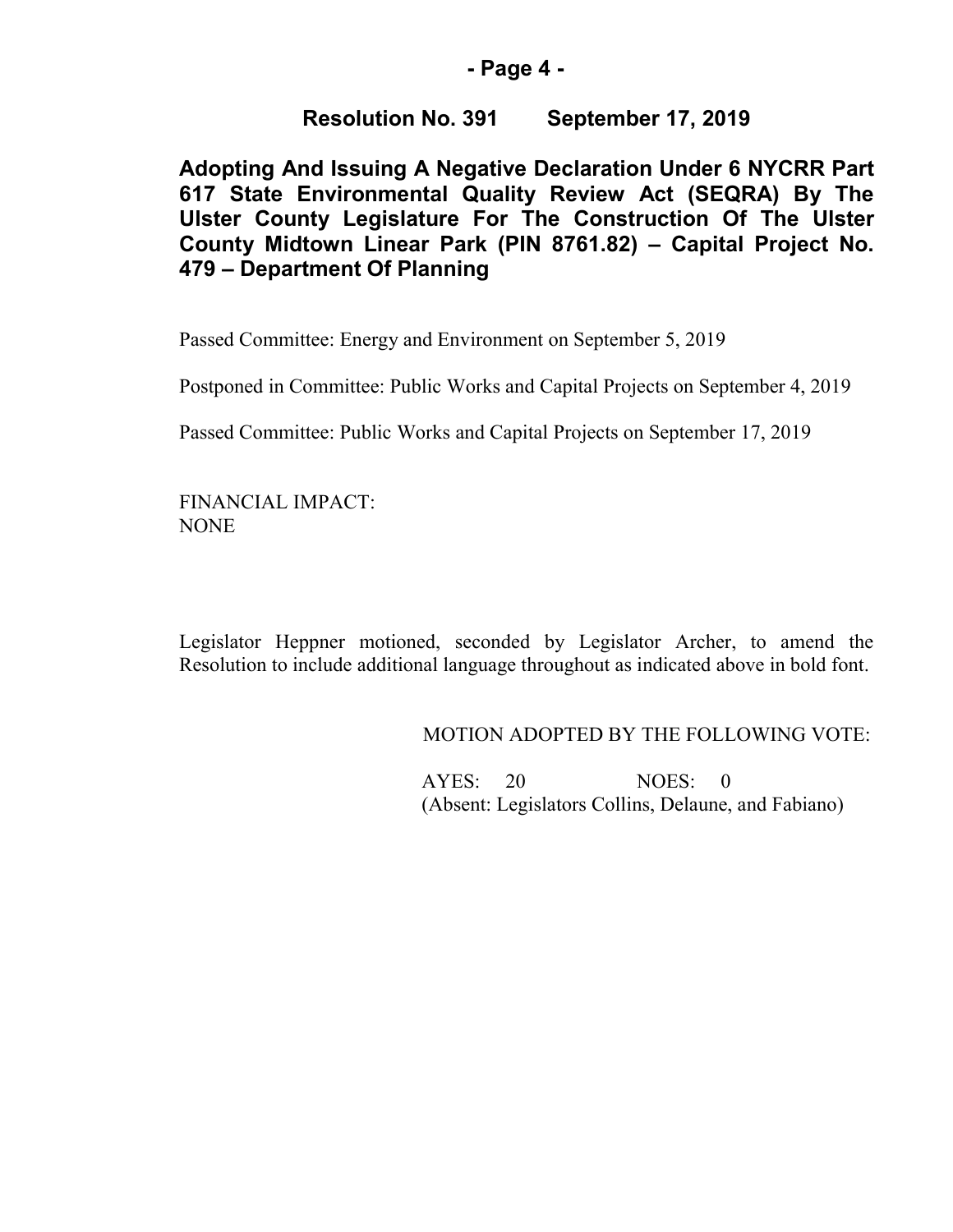### **- Page 4 -**

### **Resolution No. 391 September 17, 2019**

# **Adopting And Issuing A Negative Declaration Under 6 NYCRR Part 617 State Environmental Quality Review Act (SEQRA) By The Ulster County Legislature For The Construction Of The Ulster County Midtown Linear Park (PIN 8761.82) – Capital Project No. 479 – Department Of Planning**

Passed Committee: Energy and Environment on September 5, 2019

Postponed in Committee: Public Works and Capital Projects on September 4, 2019

Passed Committee: Public Works and Capital Projects on September 17, 2019

FINANCIAL IMPACT: NONE

Legislator Heppner motioned, seconded by Legislator Archer, to amend the Resolution to include additional language throughout as indicated above in bold font.

MOTION ADOPTED BY THE FOLLOWING VOTE:

 AYES: 20 NOES: 0 (Absent: Legislators Collins, Delaune, and Fabiano)